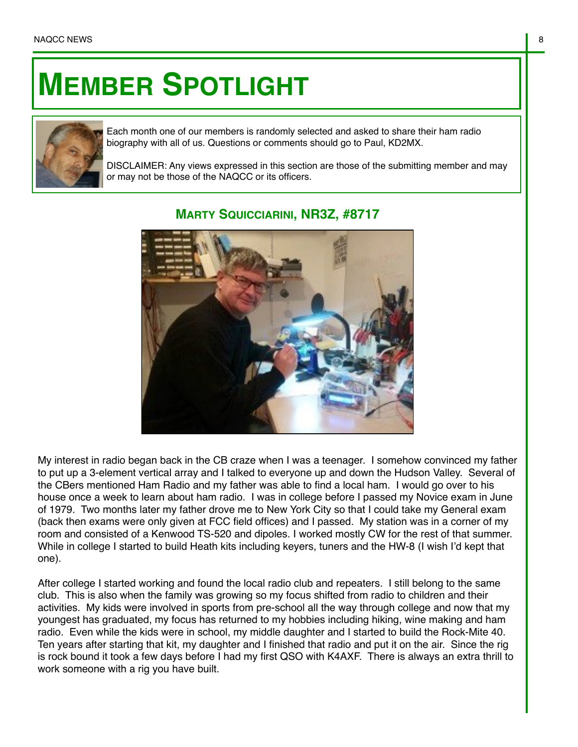## **MEMBER SPOTLIGHT**



Each month one of our members is randomly selected and asked to share their ham radio biography with all of us. Questions or comments should go to Paul, KD2MX.

DISCLAIMER: Any views expressed in this section are those of the submitting member and may or may not be those of the NAQCC or its officers.



## **MARTY SQUICCIARINI, NR3Z, #8717**

My interest in radio began back in the CB craze when I was a teenager. I somehow convinced my father to put up a 3-element vertical array and I talked to everyone up and down the Hudson Valley. Several of the CBers mentioned Ham Radio and my father was able to find a local ham. I would go over to his house once a week to learn about ham radio. I was in college before I passed my Novice exam in June of 1979. Two months later my father drove me to New York City so that I could take my General exam (back then exams were only given at FCC field offices) and I passed. My station was in a corner of my room and consisted of a Kenwood TS-520 and dipoles. I worked mostly CW for the rest of that summer. While in college I started to build Heath kits including keyers, tuners and the HW-8 (I wish I'd kept that one).

After college I started working and found the local radio club and repeaters. I still belong to the same club. This is also when the family was growing so my focus shifted from radio to children and their activities. My kids were involved in sports from pre-school all the way through college and now that my youngest has graduated, my focus has returned to my hobbies including hiking, wine making and ham radio. Even while the kids were in school, my middle daughter and I started to build the Rock-Mite 40. Ten years after starting that kit, my daughter and I finished that radio and put it on the air. Since the rig is rock bound it took a few days before I had my first QSO with K4AXF. There is always an extra thrill to work someone with a rig you have built.